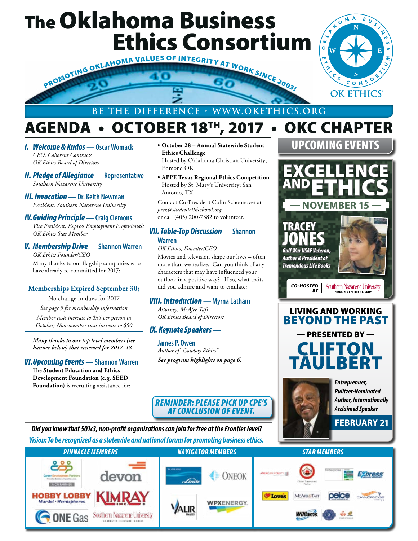## The Oklahoma Business



### **BE THE DIFFERENCE • WWW.OKETHICS.ORG**

## AGENDA • OCTOBER 18TH, 2017 • OKC CHAPTER

- *I. Welcome & Kudos* **Oscar Womack** *CEO, Coherent Contracts OK Ethics Board of Directors*
- *II. Pledge of Allegiance* **Representative** *Southern Nazarene University*
- *III. Invocation* **Dr. Keith Newman** *President, Southern Nazarene University*

### *IV.Guiding Principle* **— Craig Clemons**

*Vice President, Express Employment Professionals OK Ethics Star Member*

*V. Membership Drive* **— Shannon Warren** *OK Ethics Founder/CEO* Many thanks to our flagship companies who have already re-committed for 2017:

### **Memberships Expired September 30;**

No change in dues for 2017 *See page 5 for membership information Member costs increase to \$35 per person in* 

*October; Non-member costs increase to \$50*

*Many thanks to our top level members (see banner below) that renewed for 2017–18*

### *VI.Upcoming Events* **— Shannon Warren**

The **Student Education and Ethics Development Foundation (e.g. SEED Foundation)** is recruiting assistance for:

- **October 28 Annual Statewide Student Ethics Challenge** Hosted by Oklahoma Christian University; Edmond OK
- **• APPE Texas Regional Ethics Competition** Hosted by St. Mary's University; San Antonio, TX

Contact Co-President Colin Schoonover at *prez@studentethicsbowl.org*  or call (405) 200-7382 to volunteer.

### *VII. Table-Top Discussion* **— Shannon Warren**

*OK Ethics, Founder/CEO* Movies and television shape our lives – often more than we realize. Can you think of any characters that may have influenced your outlook in a positive way? If so, what traits did you admire and want to emulate?

### *VIII. Introduction* **— Myrna Latham**

*Attorney, McAfee Taft OK Ethics Board of Directors*

### *IX. Keynote Speakers* **—**

**James P. Owen** *Author of "Cowboy Ethics" See program highlights on page 6.*



*Entreprenuer, Pulitzer-Nominated Author, Internationally Acclaimed Speaker*

**FEBRUARY 21**

UPCOMING EVENTS

 $M^A$ 

ົ໐

 $\overline{B}$ 

.c

### *REMINDER: PLEASE PICK UP CPE'S AT CONCLUSION OF EVENT.*

*Vision: To be recognized as a statewide and national forum for promoting business ethics. Did you know that 501c3, non-profit organizations can join for free at the Frontier level?*

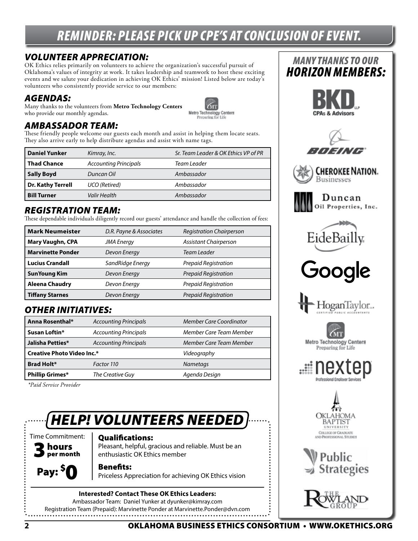## *REMINDER: PLEASE PICK UP CPE'S AT CONCLUSION OF EVENT.*

### *VOLUNTEER APPRECIATION:*

OK Ethics relies primarily on volunteers to achieve the organization's successful pursuit of Oklahoma's values of integrity at work. It takes leadership and teamwork to host these exciting events and we salute your dedication in achieving OK Ethics' mission! Listed below are today's volunteers who consistently provide service to our members:

### *AGENDAS:*

Many thanks to the volunteers from **Metro Technology Centers**  who provide our monthly agendas.



### *AMBASSADOR TEAM:*

These friendly people welcome our guests each month and assist in helping them locate seats. They also arrive early to help distribute agendas and assist with name tags.

| <b>Daniel Yunker</b> | Kimray, Inc.                 | Sr. Team Leader & OK Ethics VP of PR |
|----------------------|------------------------------|--------------------------------------|
| <b>Thad Chance</b>   | <b>Accounting Principals</b> | Team Leader                          |
| <b>Sally Boyd</b>    | Duncan Oil                   | Ambassador                           |
| Dr. Kathy Terrell    | UCO (Retired)                | Ambassador                           |
| <b>Bill Turner</b>   | Valir Health                 | Ambassador                           |

### *REGISTRATION TEAM:*

These dependable individuals diligently record our guests' attendance and handle the collection of fees:

| <b>Mark Neumeister</b>   | D.R. Payne & Associates | <b>Registration Chairperson</b> |  |  |
|--------------------------|-------------------------|---------------------------------|--|--|
| <b>Mary Vaughn, CPA</b>  | <b>JMA</b> Energy       | <b>Assistant Chairperson</b>    |  |  |
| <b>Marvinette Ponder</b> | Devon Energy            | Team Leader                     |  |  |
| <b>Lucius Crandall</b>   | SandRidge Energy        | Prepaid Registration            |  |  |
| <b>SunYoung Kim</b>      | Devon Energy            | Prepaid Registration            |  |  |
| <b>Aleena Chaudry</b>    | Devon Energy            | Prepaid Registration            |  |  |
| <b>Tiffany Starnes</b>   | Devon Energy            | Prepaid Registration            |  |  |

### *OTHER INITIATIVES:*

| Anna Rosenthal*                   | <b>Accounting Principals</b>                            | <b>Member Care Coordinator</b> |  |  |  |
|-----------------------------------|---------------------------------------------------------|--------------------------------|--|--|--|
| Susan Loftin*                     | <b>Accounting Principals</b>                            | Member Care Team Member        |  |  |  |
| Jalisha Petties*                  | Member Care Team Member<br><b>Accounting Principals</b> |                                |  |  |  |
| <b>Creative Photo Video Inc.*</b> | Videography                                             |                                |  |  |  |
| <b>Brad Holt*</b>                 | Factor 110<br><b>Nametags</b>                           |                                |  |  |  |
| <b>Phillip Grimes*</b>            | The Creative Guy<br>Agenda Design                       |                                |  |  |  |

 *\*Paid Service Provider*

## *HELP! VOLUNTEERS NEEDED*



### Qualifications:

Pleasant, helpful, gracious and reliable. Must be an enthusiastic OK Ethics member

Benefits:

Priceless Appreciation for achieving OK Ethics vision

**Interested? Contact These OK Ethics Leaders:** Ambassador Team: Daniel Yunker at dyunker@kimray.com Registration Team (Prepaid): Marvinette Ponder at Marvinette.Ponder@dvn.com



*MANY THANKS TO OUR*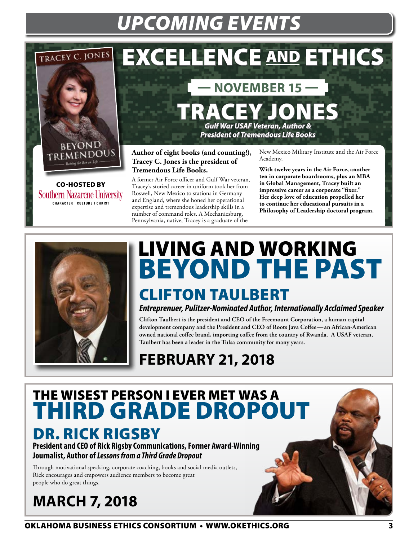## *UPCOMING EVENTS*

## TRACEY C. JONES



CO-HOSTED BY**Southern Nazarene University CHARACTER | CULTURE | CHRIST** 

## EXCELLENCE AND ETHICS

## **— NOVEMBER 15 —**

TRACEY JONES *Gulf War USAF Veteran, Author &* 

*President of Tremendous Life Books*

**Author of eight books (and counting!), Tracey C. Jones is the president of Tremendous Life Books.** 

A former Air Force officer and Gulf War veteran, Tracey's storied career in uniform took her from Roswell, New Mexico to stations in Germany and England, where she honed her operational expertise and tremendous leadership skills in a number of command roles. A Mechanicsburg, Pennsylvania, native, Tracey is a graduate of the

New Mexico Military Institute and the Air Force Academy.

**With twelve years in the Air Force, another ten in corporate boardrooms, plus an MBA in Global Management, Tracey built an impressive career as a corporate "fixer." Her deep love of education propelled her to continue her educational pursuits in a Philosophy of Leadership doctoral program.**



## LIVING AND WORKING BEYOND THE PAST CLIFTON TAULBERT

*Entreprenuer, Pulitzer-Nominated Author, Internationally Acclaimed Speaker*

**Clifton Taulbert is the president and CEO of the Freemount Corporation, a human capital development company and the President and CEO of Roots Java Coffee—an African-American owned national coffee brand, importing coffee from the country of Rwanda. A USAF veteran, Taulbert has been a leader in the Tulsa community for many years.**

**FEBRUARY 21, 2018**

## THE WISEST PERSON I EVER MET WAS A THIRD GRADE DROPOUT

## DR. RICK RIGSBY

**President and CEO of Rick Rigsby Communications, Former Award-Winning Journalist, Author of** *Lessons from a Third Grade Dropout*

Through motivational speaking, corporate coaching, books and social media outlets, Rick encourages and empowers audience members to become great people who do great things.

## **MARCH 7, 2018**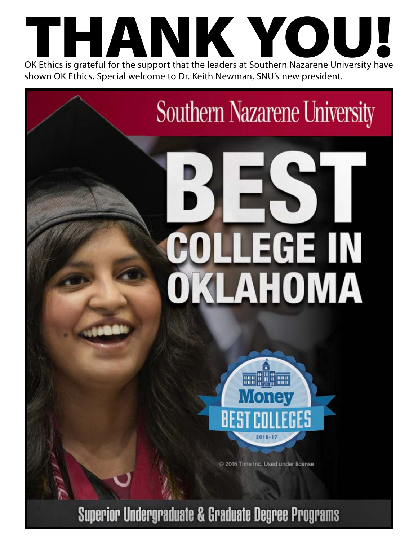

## **Southern Nazarene University**

# LEGE IN DKLAHOMA



2016 Time Inc. Used under license

**Superior Undergraduate & Graduate Degree Programs**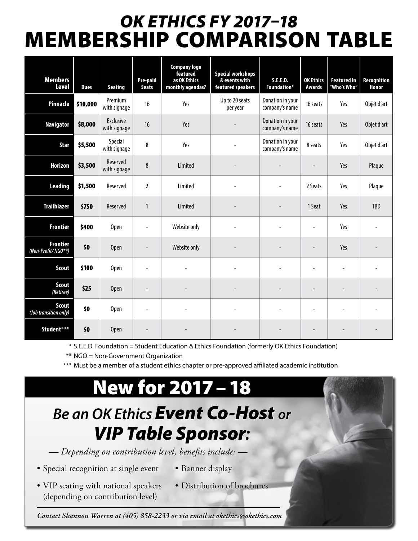## *OK ETHICS FY 2017–18*  MEMBERSHIP COMPARISON TABLE

| <b>Members</b><br><b>Level</b>        | <b>Dues</b> | <b>Seating</b>            | Pre-paid<br><b>Seats</b> | <b>Company logo</b><br>featured<br>as OK Ethics<br>monthly agendas? | <b>Special workshops</b><br>& events with<br>featured speakers | <b>S.E.E.D.</b><br>Foundation*     | <b>OK Ethics</b><br><b>Awards</b> | <b>Featured in</b><br>"Who's Who" | <b>Recognition</b><br>Honor |
|---------------------------------------|-------------|---------------------------|--------------------------|---------------------------------------------------------------------|----------------------------------------------------------------|------------------------------------|-----------------------------------|-----------------------------------|-----------------------------|
| Pinnacle                              | \$10,000    | Premium<br>with signage   | 16                       | Yes                                                                 | Up to 20 seats<br>per year                                     | Donation in your<br>company's name | 16 seats                          | Yes                               | Objet d'art                 |
| <b>Navigator</b>                      | \$8,000     | Exclusive<br>with signage | 16                       | Yes                                                                 |                                                                | Donation in your<br>company's name | 16 seats                          | Yes                               | Objet d'art                 |
| <b>Star</b>                           | \$5,500     | Special<br>with signage   | 8                        | Yes                                                                 |                                                                | Donation in your<br>company's name | 8 seats                           | Yes                               | Objet d'art                 |
| <b>Horizon</b>                        | \$3,500     | Reserved<br>with signage  | 8                        | Limited                                                             |                                                                |                                    |                                   | Yes                               | Plaque                      |
| <b>Leading</b>                        | \$1,500     | Reserved                  | $\overline{2}$           | Limited                                                             | ÷,                                                             |                                    | 2 Seats                           | Yes                               | Plaque                      |
| <b>Trailblazer</b>                    | \$750       | Reserved                  | $\mathbf{1}$             | Limited                                                             |                                                                |                                    | 1 Seat                            | Yes                               | TBD                         |
| <b>Frontier</b>                       | \$400       | Open                      | ä,                       | Website only                                                        |                                                                |                                    | ÷,                                | Yes                               |                             |
| <b>Frontier</b><br>(Non-Profit/NGO**) | \$0         | <b>Open</b>               |                          | Website only                                                        |                                                                |                                    |                                   | Yes                               |                             |
| <b>Scout</b>                          | \$100       | Open                      |                          |                                                                     |                                                                |                                    |                                   |                                   |                             |
| <b>Scout</b><br>(Retiree)             | \$25        | <b>Open</b>               | $\overline{a}$           |                                                                     |                                                                |                                    | $\overline{\phantom{a}}$          |                                   |                             |
| <b>Scout</b><br>(Job transition only) | \$0         | Open                      | $\overline{\phantom{a}}$ |                                                                     |                                                                |                                    | ÷,                                |                                   |                             |
| Student***                            | \$0         | <b>Open</b>               |                          |                                                                     |                                                                |                                    |                                   |                                   |                             |

\* S.E.E.D. Foundation = Student Education & Ethics Foundation (formerly OK Ethics Foundation)

\*\* NGO = Non-Government Organization

\*\*\* Must be a member of a student ethics chapter or pre-approved affiliated academic institution

## New for 2017–18

## *Be an OK Ethics Event Co-Host or VIP Table Sponsor:*

 *— Depending on contribution level, benefits include: —*

- Special recognition at single event
- Banner display
- VIP seating with national speakers (depending on contribution level)
- Distribution of brochures

*Contact Shannon Warren at (405) 858-2233 or via email at okethics@okethics.com*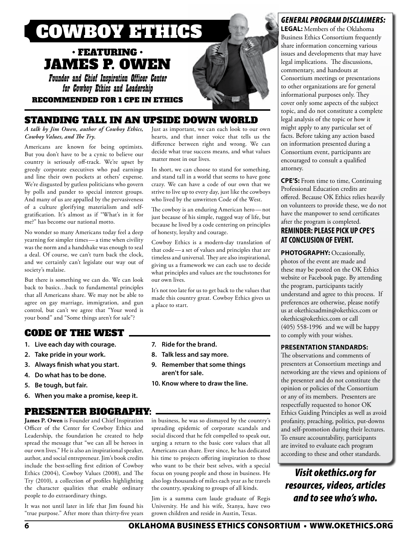

### $\boldsymbol{\cdot}$  FEATURING  $\boldsymbol{\cdot}$ JAMES P. OWEN

Founder and Chief Inspiration Officer Center for Cowboy Ethics and Leadership

RECOMMENDED FOR 1 CPE IN ETHICS

### STANDING TALL IN AN UPSIDE DOWN WORLD

*A talk by Jim Owen, author of Cowboy Ethics, Cowboy Values, and The Try.*

Americans are known for being optimists. But you don't have to be a cynic to believe our country is seriously off-track. We're upset by greedy corporate executives who pad earnings and line their own pockets at others' expense. We're disgusted by gutless politicians who govern by polls and pander to special interest groups. And many of us are appalled by the pervasiveness of a culture glorifying materialism and selfgratification. It's almost as if "What's in it for me?" has become our national motto.

No wonder so many Americans today feel a deep yearning for simpler times—a time when civility was the norm and a handshake was enough to seal a deal. Of course, we can't turn back the clock, and we certainly can't legislate our way out of society's malaise.

But there is something we can do. We can look back to basics…back to fundamental principles that all Americans share. We may not be able to agree on gay marriage, immigration, and gun control, but can't we agree that "Your word is your bond" and "Some things aren't for sale"?

### CODE OF THE WEST

- **1. Live each day with courage.**
- **2. Take pride in your work.**
- **3. Always finish what you start.**
- **4. Do what has to be done.**
- **5. Be tough, but fair.**
- **6. When you make a promise, keep it.**

### PRESENTER BIOGRAPHY:

**James P. Owen** is Founder and Chief Inspiration Officer of the Center for Cowboy Ethics and Leadership, the foundation he created to help spread the message that "we can all be heroes in our own lives." He is also an inspirational speaker, author, and social entrepreneur. Jim's book credits include the best-selling first edition of Cowboy Ethics (2004), Cowboy Values (2008), and The Try (2010), a collection of profiles highlighting the character qualities that enable ordinary people to do extraordinary things.

It was not until later in life that Jim found his "true purpose." After more than thirty-five years

Just as important, we can each look to our own hearts, and that inner voice that tells us the difference between right and wrong. We can decide what true success means, and what values matter most in our lives.

In short, we can choose to stand for something, and stand tall in a world that seems to have gone crazy. We can have a code of our own that we strive to live up to every day, just like the cowboys who lived by the unwritten Code of the West.

The cowboy is an enduring American hero—not just because of his simple, rugged way of life, but because he lived by a code centering on principles of honesty, loyalty and courage.

Cowboy Ethics is a modern-day translation of that code—a set of values and principles that are timeless and universal. They are also inspirational, giving us a framework we can each use to decide what principles and values are the touchstones for our own lives.

It's not too late for us to get back to the values that made this country great. Cowboy Ethics gives us a place to start.

- **7. Ride for the brand.**
- **8. Talk less and say more.**
- **9. Remember that some things aren't for sale.**
- **10. Know where to draw the line.**

in business, he was so dismayed by the country's spreading epidemic of corporate scandals and social discord that he felt compelled to speak out, urging a return to the basic core values that all Americans can share. Ever since, he has dedicated his time to projects offering inspiration to those who want to be their best selves, with a special focus on young people and those in business. He also logs thousands of miles each year as he travels the country, speaking to groups of all kinds.

Jim is a summa cum laude graduate of Regis University. He and his wife, Stanya, have two grown children and reside in Austin, Texas.

### *GENERAL PROGRAM DISCLAIMERS:*

**LEGAL:** Members of the Oklahoma Business Ethics Consortium frequently share information concerning various issues and developments that may have legal implications. The discussions, commentary, and handouts at Consortium meetings or presentations to other organizations are for general informational purposes only. They cover only some aspects of the subject topic, and do not constitute a complete legal analysis of the topic or how it might apply to any particular set of facts. Before taking any action based on information presented during a Consortium event, participants are encouraged to consult a qualified attorney.

**CPE'S:** From time to time, Continuing Professional Education credits are offered. Because OK Ethics relies heavily on volunteers to provide these, we do not have the manpower to send certificates after the program is completed.

### **REMINDER: PLEASE PICK UP CPE'S AT CONCLUSION OF EVENT.**

**PHOTOGRAPHY: Occasionally,** photos of the event are made and these may be posted on the OK Ethics website or Facebook page. By attending the program, participants tacitly understand and agree to this process. If preferences are otherwise, please notify us at okethicsadmin@okethics.com or okethics@okethics.com or call (405) 558-1996 and we will be happy to comply with your wishes.

### **PRESENTATION STANDARDS:**

The observations and comments of presenters at Consortium meetings and networking are the views and opinions of the presenter and do not constitute the opinion or policies of the Consortium or any of its members. Presenters are respectfully requested to honor OK Ethics Guiding Principles as well as avoid profanity, preaching, politics, put-downs and self-promotion during their lectures. To ensure accountability, participants are invited to evaluate each program according to these and other standards.

### *Visit okethics.org for resources, videos, articles and to see who's who.*